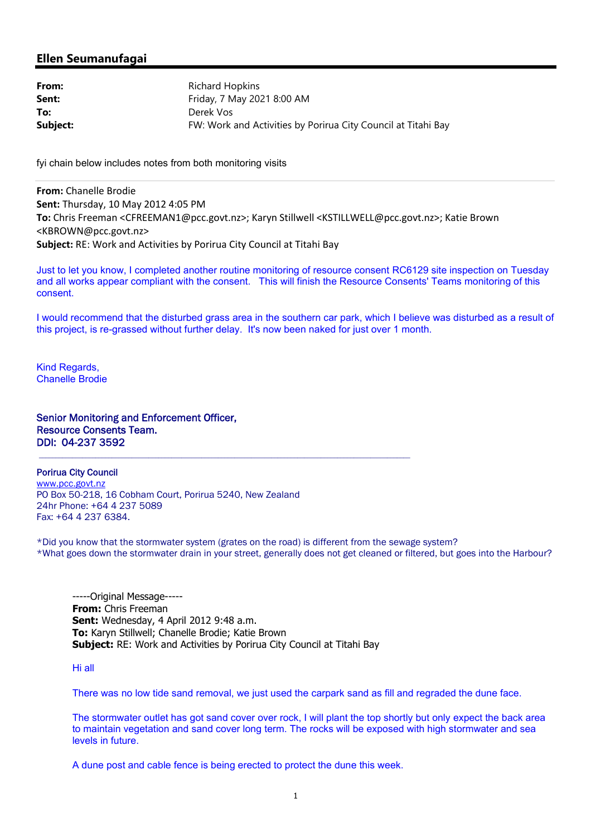# **Ellen Seumanufagai**

| From:    | Richard Hopkins                                               |
|----------|---------------------------------------------------------------|
| Sent:    | Friday, 7 May 2021 8:00 AM                                    |
| To:      | Derek Vos                                                     |
| Subject: | FW: Work and Activities by Porirua City Council at Titahi Bay |

fyi chain below includes notes from both monitoring visits

**From:** Chanelle Brodie **Sent:** Thursday, 10 May 2012 4:05 PM **To:** Chris Freeman <CFREEMAN1@pcc.govt.nz>; Karyn Stillwell <KSTILLWELL@pcc.govt.nz>; Katie Brown <KBROWN@pcc.govt.nz> **Subject:** RE: Work and Activities by Porirua City Council at Titahi Bay

Just to let you know, I completed another routine monitoring of resource consent RC6129 site inspection on Tuesday and all works appear compliant with the consent. This will finish the Resource Consents' Teams monitoring of this consent.

I would recommend that the disturbed grass area in the southern car park, which I believe was disturbed as a result of this project, is re-grassed without further delay. It's now been naked for just over 1 month.

Kind Regards, Chanelle Brodie

Senior Monitoring and Enforcement Officer, Resource Consents Team. DDI: 04-237 3592

Porirua City Council www.pcc.govt.nz PO Box 50-218, 16 Cobham Court, Porirua 5240, New Zealand 24hr Phone: +64 4 237 5089 Fax: +64 4 237 6384.

\*Did you know that the stormwater system (grates on the road) is different from the sewage system? \*What goes down the stormwater drain in your street, generally does not get cleaned or filtered, but goes into the Harbour?

-----Original Message----- **From:** Chris Freeman **Sent:** Wednesday, 4 April 2012 9:48 a.m. **To:** Karyn Stillwell; Chanelle Brodie; Katie Brown **Subject:** RE: Work and Activities by Porirua City Council at Titahi Bay

Hi all

There was no low tide sand removal, we just used the carpark sand as fill and regraded the dune face.

The stormwater outlet has got sand cover over rock, I will plant the top shortly but only expect the back area to maintain vegetation and sand cover long term. The rocks will be exposed with high stormwater and sea levels in future.

A dune post and cable fence is being erected to protect the dune this week.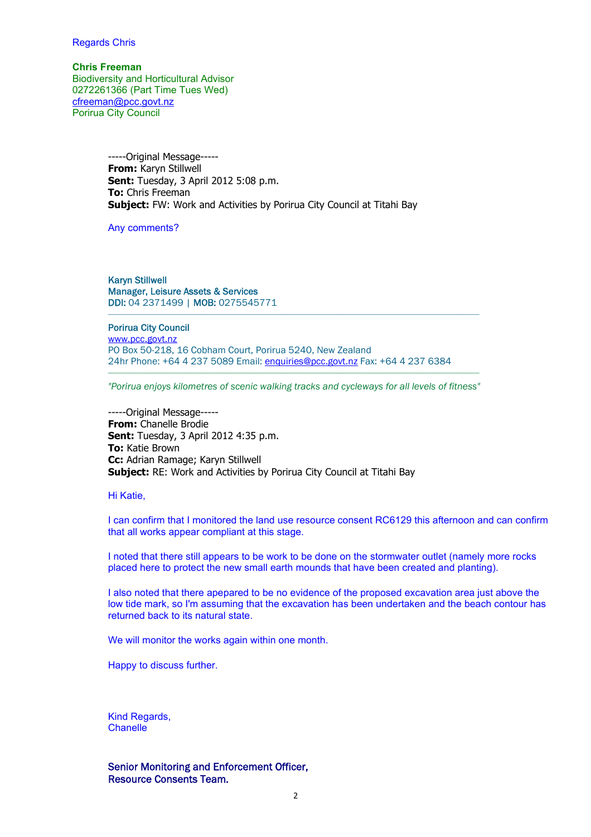### Regards Chris

**Chris Freeman** Biodiversity and Horticultural Advisor 0272261366 (Part Time Tues Wed) cfreeman@pcc.govt.nz Porirua City Council

> -----Original Message----- **From:** Karyn Stillwell **Sent:** Tuesday, 3 April 2012 5:08 p.m. **To:** Chris Freeman **Subject:** FW: Work and Activities by Porirua City Council at Titahi Bay

Any comments?

Karyn Stillwell Manager, Leisure Assets & Services DDI: 04 2371499 | MOB: 0275545771

Porirua City Council www.pcc.govt.nz PO Box 50-218, 16 Cobham Court, Porirua 5240, New Zealand 24hr Phone: +64 4 237 5089 Email: enquiries@pcc.govt.nz Fax: +64 4 237 6384

*"Porirua enjoys kilometres of scenic walking tracks and cycleways for all levels of fitness"*

-----Original Message----- **From:** Chanelle Brodie **Sent:** Tuesday, 3 April 2012 4:35 p.m. **To:** Katie Brown **Cc:** Adrian Ramage; Karyn Stillwell **Subject:** RE: Work and Activities by Porirua City Council at Titahi Bay

Hi Katie,

I can confirm that I monitored the land use resource consent RC6129 this afternoon and can confirm that all works appear compliant at this stage.

I noted that there still appears to be work to be done on the stormwater outlet (namely more rocks placed here to protect the new small earth mounds that have been created and planting).

I also noted that there apepared to be no evidence of the proposed excavation area just above the low tide mark, so I'm assuming that the excavation has been undertaken and the beach contour has returned back to its natural state.

We will monitor the works again within one month.

Happy to discuss further.

Kind Regards, Chanelle

Senior Monitoring and Enforcement Officer, Resource Consents Team.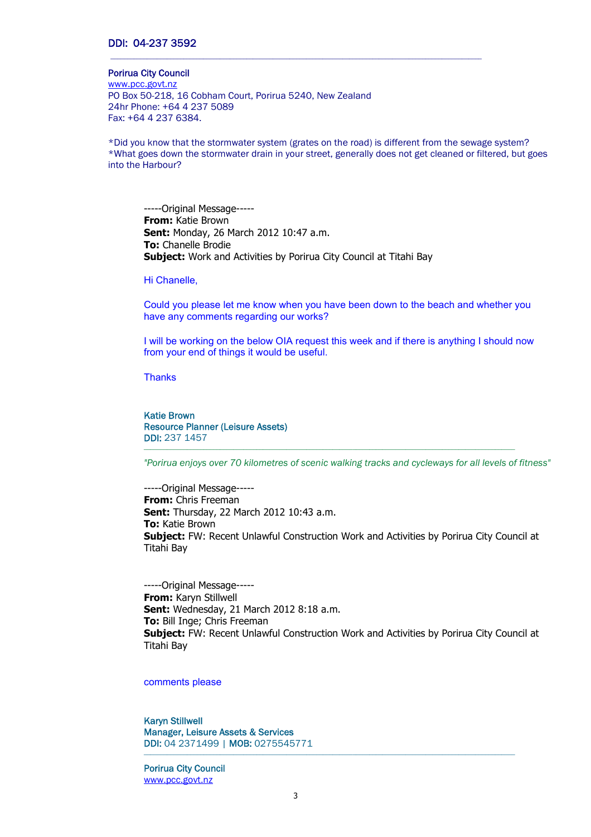## DDI: 04-237 3592

#### Porirua City Council

www.pcc.govt.nz PO Box 50-218, 16 Cobham Court, Porirua 5240, New Zealand 24hr Phone: +64 4 237 5089 Fax: +64 4 237 6384.

\*Did you know that the stormwater system (grates on the road) is different from the sewage system? \*What goes down the stormwater drain in your street, generally does not get cleaned or filtered, but goes into the Harbour?

-----Original Message----- **From:** Katie Brown **Sent:** Monday, 26 March 2012 10:47 a.m. **To:** Chanelle Brodie **Subject:** Work and Activities by Porirua City Council at Titahi Bay

#### Hi Chanelle,

Could you please let me know when you have been down to the beach and whether you have any comments regarding our works?

I will be working on the below OIA request this week and if there is anything I should now from your end of things it would be useful.

**Thanks** 

Katie Brown Resource Planner (Leisure Assets) DDI: 237 1457

*"Porirua enjoys over 70 kilometres of scenic walking tracks and cycleways for all levels of fitness"*

 $\mathcal{L}_\text{max} = \mathcal{L}_\text{max} = \mathcal{L}_\text{max} = \mathcal{L}_\text{max} = \mathcal{L}_\text{max} = \mathcal{L}_\text{max} = \mathcal{L}_\text{max} = \mathcal{L}_\text{max} = \mathcal{L}_\text{max} = \mathcal{L}_\text{max} = \mathcal{L}_\text{max} = \mathcal{L}_\text{max} = \mathcal{L}_\text{max} = \mathcal{L}_\text{max} = \mathcal{L}_\text{max} = \mathcal{L}_\text{max} = \mathcal{L}_\text{max} = \mathcal{L}_\text{max} = \mathcal{$ 

-----Original Message----- **From:** Chris Freeman **Sent:** Thursday, 22 March 2012 10:43 a.m. **To:** Katie Brown **Subject:** FW: Recent Unlawful Construction Work and Activities by Porirua City Council at Titahi Bay

-----Original Message----- **From:** Karyn Stillwell **Sent:** Wednesday, 21 March 2012 8:18 a.m. **To:** Bill Inge; Chris Freeman **Subject:** FW: Recent Unlawful Construction Work and Activities by Porirua City Council at Titahi Bay

 $\mathcal{L}_\mathcal{L} = \{ \mathcal{L}_\mathcal{L} = \{ \mathcal{L}_\mathcal{L} = \{ \mathcal{L}_\mathcal{L} = \{ \mathcal{L}_\mathcal{L} = \{ \mathcal{L}_\mathcal{L} = \{ \mathcal{L}_\mathcal{L} = \{ \mathcal{L}_\mathcal{L} = \{ \mathcal{L}_\mathcal{L} = \{ \mathcal{L}_\mathcal{L} = \{ \mathcal{L}_\mathcal{L} = \{ \mathcal{L}_\mathcal{L} = \{ \mathcal{L}_\mathcal{L} = \{ \mathcal{L}_\mathcal{L} = \{ \mathcal{L}_\mathcal{$ 

#### comments please

Karyn Stillwell Manager, Leisure Assets & Services DDI: 04 2371499 | MOB: 0275545771

Porirua City Council www.pcc.govt.nz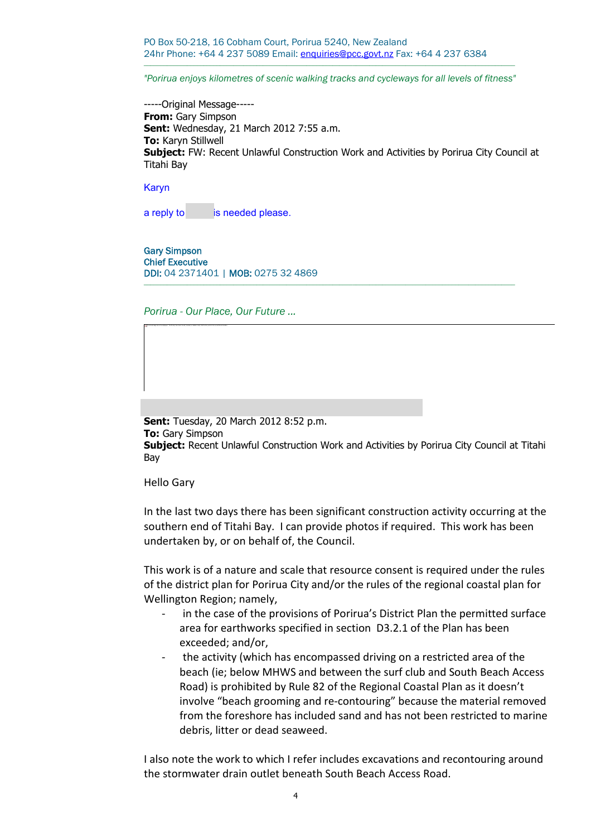PO Box 50-218, 16 Cobham Court, Porirua 5240, New Zealand 24hr Phone: +64 4 237 5089 Email: enquiries@pcc.govt.nz Fax: +64 4 237 6384

*"Porirua enjoys kilometres of scenic walking tracks and cycleways for all levels of fitness"*

 $\mathcal{L}_\text{max} = \mathcal{L}_\text{max} = \mathcal{L}_\text{max} = \mathcal{L}_\text{max} = \mathcal{L}_\text{max} = \mathcal{L}_\text{max} = \mathcal{L}_\text{max} = \mathcal{L}_\text{max} = \mathcal{L}_\text{max} = \mathcal{L}_\text{max} = \mathcal{L}_\text{max} = \mathcal{L}_\text{max} = \mathcal{L}_\text{max} = \mathcal{L}_\text{max} = \mathcal{L}_\text{max} = \mathcal{L}_\text{max} = \mathcal{L}_\text{max} = \mathcal{L}_\text{max} = \mathcal{$ 

-----Original Message----- **From:** Gary Simpson **Sent:** Wednesday, 21 March 2012 7:55 a.m. **To:** Karyn Stillwell **Subject:** FW: Recent Unlawful Construction Work and Activities by Porirua City Council at Titahi Bay

Karyn

a reply to is needed please.

Gary Simpson Chief Executive DDI: 04 2371401 | MOB: 0275 32 4869

*Porirua - Our Place, Our Future ...*

The linked image cannot be displayed. The file may have been moved, renamed, or deleted. Verify that the link points to the correct file and location.

**Sent:** Tuesday, 20 March 2012 8:52 p.m. **To:** Gary Simpson **Subject:** Recent Unlawful Construction Work and Activities by Porirua City Council at Titahi Bay

Hello Gary

In the last two days there has been significant construction activity occurring at the southern end of Titahi Bay. I can provide photos if required. This work has been undertaken by, or on behalf of, the Council.

This work is of a nature and scale that resource consent is required under the rules of the district plan for Porirua City and/or the rules of the regional coastal plan for Wellington Region; namely,

- in the case of the provisions of Porirua's District Plan the permitted surface area for earthworks specified in section D3.2.1 of the Plan has been exceeded; and/or,
- the activity (which has encompassed driving on a restricted area of the beach (ie; below MHWS and between the surf club and South Beach Access Road) is prohibited by Rule 82 of the Regional Coastal Plan as it doesn't involve "beach grooming and re-contouring" because the material removed from the foreshore has included sand and has not been restricted to marine debris, litter or dead seaweed.

I also note the work to which I refer includes excavations and recontouring around the stormwater drain outlet beneath South Beach Access Road.